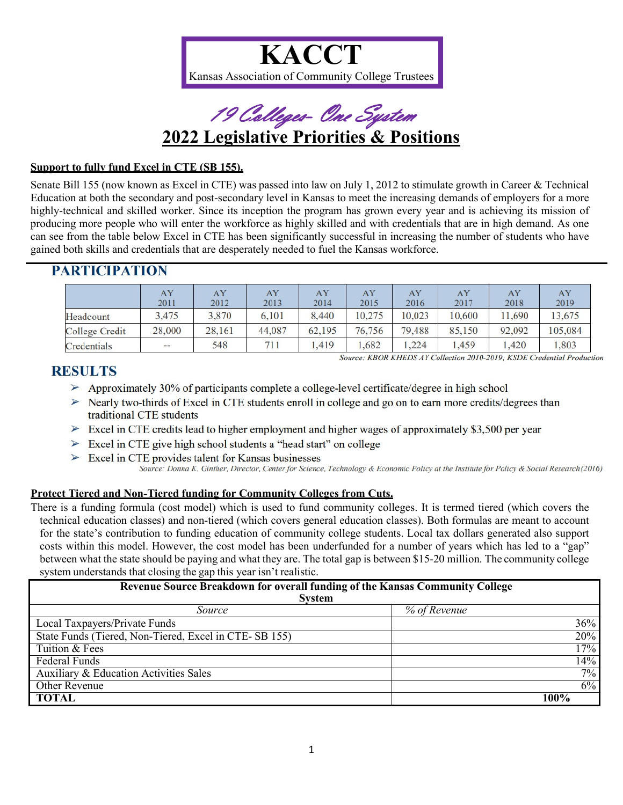



### **Support to fully fund Excel in CTE (SB 155).**

Senate Bill 155 (now known as Excel in CTE) was passed into law on July 1, 2012 to stimulate growth in Career & Technical Education at both the secondary and post-secondary level in Kansas to meet the increasing demands of employers for a more highly-technical and skilled worker. Since its inception the program has grown every year and is achieving its mission of producing more people who will enter the workforce as highly skilled and with credentials that are in high demand. As one can see from the table below Excel in CTE has been significantly successful in increasing the number of students who have gained both skills and credentials that are desperately needed to fuel the Kansas workforce.

|                | AY            | AY            | AY            | AY            | AY             | AY             | AY             | AY            | AY            |
|----------------|---------------|---------------|---------------|---------------|----------------|----------------|----------------|---------------|---------------|
| Headcount      | 2011<br>3.475 | 2012<br>3,870 | 2013<br>6.101 | 2014<br>8,440 | 2015<br>10,275 | 2016<br>10.023 | 2017<br>10,600 | 2018<br>1,690 | 2019<br>3,675 |
| College Credit | 28,000        | 28,161        | 44,087        | 62,195        | 76,756         | 79,488         | 85,150         | 92,092        | 105,084       |
| Credentials    | $- -$         | 548           | 711           | .419          | 1,682          | 1,224          | .,459          | 1,420         | .803          |

# **PARTICIPATION**

Source: KBOR KHEDS AY Collection 2010-2019; KSDE Credential Production

## RESULTS

- $\triangleright$  Approximately 30% of participants complete a college-level certificate/degree in high school
- $\geq$  Nearly two-thirds of Excel in CTE students enroll in college and go on to earn more credits/degrees than traditional CTE students
- $\geq$  Excel in CTE credits lead to higher employment and higher wages of approximately \$3,500 per year
- $\triangleright$  Excel in CTE give high school students a "head start" on college
- $\triangleright$  Excel in CTE provides talent for Kansas businesses
	- Source: Donna K. Ginther, Director, Center for Science, Technology & Economic Policy at the Institute for Policy & Social Research (2016)

### **Protect Tiered and Non-Tiered funding for Community Colleges from Cuts.**

There is a funding formula (cost model) which is used to fund community colleges. It is termed tiered (which covers the technical education classes) and non-tiered (which covers general education classes). Both formulas are meant to account for the state's contribution to funding education of community college students. Local tax dollars generated also support costs within this model. However, the cost model has been underfunded for a number of years which has led to a "gap" between what the state should be paying and what they are. The total gap is between \$15-20 million. The community college system understands that closing the gap this year isn't realistic.

| <b>Revenue Source Breakdown for overall funding of the Kansas Community College</b><br><b>System</b> |              |  |  |  |  |
|------------------------------------------------------------------------------------------------------|--------------|--|--|--|--|
| Source                                                                                               | % of Revenue |  |  |  |  |
| Local Taxpayers/Private Funds                                                                        | 36%          |  |  |  |  |
| State Funds (Tiered, Non-Tiered, Excel in CTE-SB 155)                                                | 20%          |  |  |  |  |
| Tuition & Fees                                                                                       | 17%          |  |  |  |  |
| Federal Funds                                                                                        | 14%          |  |  |  |  |
| Auxiliary & Education Activities Sales                                                               | $7\%$        |  |  |  |  |
| Other Revenue                                                                                        | $6\%$        |  |  |  |  |
| <b>TOTAL</b>                                                                                         | 100%         |  |  |  |  |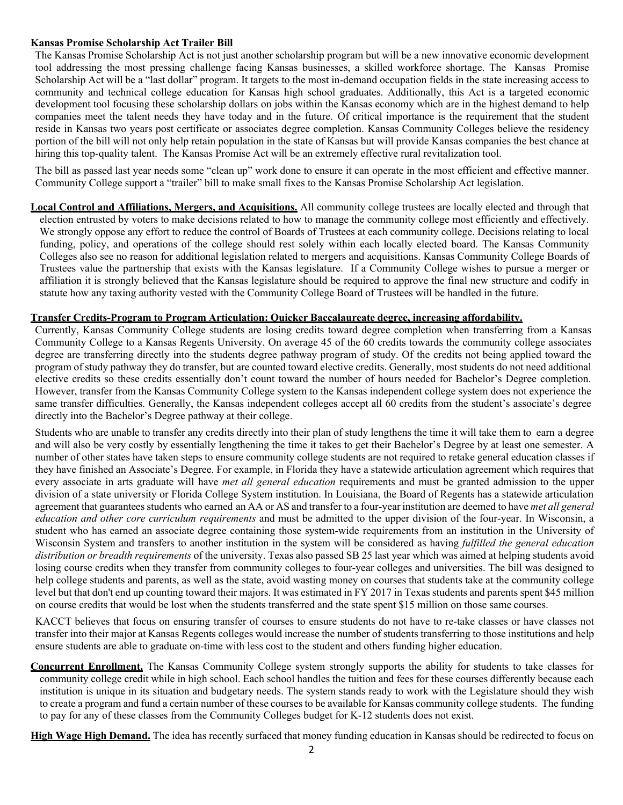#### **Kansas Promise Scholarship Act Trailer Bill**

The Kansas Promise Scholarship Act is not just another scholarship program but will be a new innovative economic development tool addressing the most pressing challenge facing Kansas businesses, a skilled workforce shortage. The Kansas Promise Scholarship Act will be a "last dollar" program. It targets to the most in-demand occupation fields in the state increasing access to community and technical college education for Kansas high school graduates. Additionally, this Act is a targeted economic development tool focusing these scholarship dollars on jobs within the Kansas economy which are in the highest demand to help companies meet the talent needs they have today and in the future. Of critical importance is the requirement that the student reside in Kansas two years post certificate or associates degree completion. Kansas Community Colleges believe the residency portion of the bill will not only help retain population in the state of Kansas but will provide Kansas companies the best chance at hiring this top-quality talent. The Kansas Promise Act will be an extremely effective rural revitalization tool.

The bill as passed last year needs some "clean up" work done to ensure it can operate in the most efficient and effective manner. Community College support a "trailer" bill to make small fixes to the Kansas Promise Scholarship Act legislation.

**Local Control and Affiliations, Mergers, and Acquisitions.** All community college trustees are locally elected and through that election entrusted by voters to make decisions related to how to manage the community college most efficiently and effectively. We strongly oppose any effort to reduce the control of Boards of Trustees at each community college. Decisions relating to local funding, policy, and operations of the college should rest solely within each locally elected board. The Kansas Community Colleges also see no reason for additional legislation related to mergers and acquisitions. Kansas Community College Boards of Trustees value the partnership that exists with the Kansas legislature. If a Community College wishes to pursue a merger or affiliation it is strongly believed that the Kansas legislature should be required to approve the final new structure and codify in statute how any taxing authority vested with the Community College Board of Trustees will be handled in the future.

#### **Transfer Credits-Program to Program Articulation: Quicker Baccalaureate degree, increasing affordability.**

Currently, Kansas Community College students are losing credits toward degree completion when transferring from a Kansas Community College to a Kansas Regents University. On average 45 of the 60 credits towards the community college associates degree are transferring directly into the students degree pathway program of study. Of the credits not being applied toward the program of study pathway they do transfer, but are counted toward elective credits. Generally, most students do not need additional elective credits so these credits essentially don't count toward the number of hours needed for Bachelor's Degree completion. However, transfer from the Kansas Community College system to the Kansas independent college system does not experience the same transfer difficulties. Generally, the Kansas independent colleges accept all 60 credits from the student's associate's degree directly into the Bachelor's Degree pathway at their college.

Students who are unable to transfer any credits directly into their plan of study lengthens the time it will take them to earn a degree and will also be very costly by essentially lengthening the time it takes to get their Bachelor's Degree by at least one semester. A number of other states have taken steps to ensure community college students are not required to retake general education classes if they have finished an Associate's Degree. For example, in Florida they have a statewide articulation agreement which requires that every associate in arts graduate will have *met all general education* requirements and must be granted admission to the upper division of a state university or Florida College System institution. In Louisiana, the Board of Regents has a statewide articulation agreement that guaranteesstudents who earned an AA or AS and transfer to a four-year institution are deemed to have *met all general education and other core curriculum requirements* and must be admitted to the upper division of the four-year. In Wisconsin, a student who has earned an associate degree containing those system-wide requirements from an institution in the University of Wisconsin System and transfers to another institution in the system will be considered as having *fulfilled the general education distribution or breadth requirements* of the university. Texas also passed SB 25 last year which was aimed at helping students avoid losing course credits when they transfer from community colleges to four-year colleges and universities. The bill was designed to help college students and parents, as well as the state, avoid wasting money on courses that students take at the community college level but that don't end up counting toward their majors. It was estimated in FY 2017 in Texas students and parents spent \$45 million on course credits that would be lost when the students transferred and the state spent \$15 million on those same courses.

KACCT believes that focus on ensuring transfer of courses to ensure students do not have to re-take classes or have classes not transfer into their major at Kansas Regents colleges would increase the number of students transferring to those institutions and help ensure students are able to graduate on-time with less cost to the student and others funding higher education.

**Concurrent Enrollment.** The Kansas Community College system strongly supports the ability for students to take classes for community college credit while in high school. Each school handles the tuition and fees for these courses differently because each institution is unique in its situation and budgetary needs. The system stands ready to work with the Legislature should they wish to create a program and fund a certain number of these courses to be available for Kansas community college students. The funding to pay for any of these classes from the Community Colleges budget for K-12 students does not exist.

**High Wage High Demand.** The idea has recently surfaced that money funding education in Kansas should be redirected to focus on